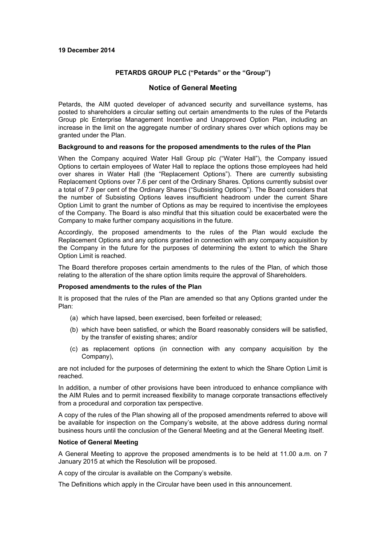### **19 December 2014**

## **PETARDS GROUP PLC ("Petards" or the "Group")**

# **Notice of General Meeting**

Petards, the AIM quoted developer of advanced security and surveillance systems, has posted to shareholders a circular setting out certain amendments to the rules of the Petards Group plc Enterprise Management Incentive and Unapproved Option Plan, including an increase in the limit on the aggregate number of ordinary shares over which options may be granted under the Plan.

### **Background to and reasons for the proposed amendments to the rules of the Plan**

When the Company acquired Water Hall Group plc ("Water Hall"), the Company issued Options to certain employees of Water Hall to replace the options those employees had held over shares in Water Hall (the "Replacement Options"). There are currently subsisting Replacement Options over 7.6 per cent of the Ordinary Shares. Options currently subsist over a total of 7.9 per cent of the Ordinary Shares ("Subsisting Options"). The Board considers that the number of Subsisting Options leaves insufficient headroom under the current Share Option Limit to grant the number of Options as may be required to incentivise the employees of the Company. The Board is also mindful that this situation could be exacerbated were the Company to make further company acquisitions in the future.

Accordingly, the proposed amendments to the rules of the Plan would exclude the Replacement Options and any options granted in connection with any company acquisition by the Company in the future for the purposes of determining the extent to which the Share Option Limit is reached.

The Board therefore proposes certain amendments to the rules of the Plan, of which those relating to the alteration of the share option limits require the approval of Shareholders.

#### **Proposed amendments to the rules of the Plan**

It is proposed that the rules of the Plan are amended so that any Options granted under the Plan:

- (a) which have lapsed, been exercised, been forfeited or released;
- (b) which have been satisfied, or which the Board reasonably considers will be satisfied, by the transfer of existing shares; and/or
- (c) as replacement options (in connection with any company acquisition by the Company),

are not included for the purposes of determining the extent to which the Share Option Limit is reached.

In addition, a number of other provisions have been introduced to enhance compliance with the AIM Rules and to permit increased flexibility to manage corporate transactions effectively from a procedural and corporation tax perspective.

A copy of the rules of the Plan showing all of the proposed amendments referred to above will be available for inspection on the Company's website, at the above address during normal business hours until the conclusion of the General Meeting and at the General Meeting itself.

#### **Notice of General Meeting**

A General Meeting to approve the proposed amendments is to be held at 11.00 a.m. on 7 January 2015 at which the Resolution will be proposed.

A copy of the circular is available on the Company's website.

The Definitions which apply in the Circular have been used in this announcement.